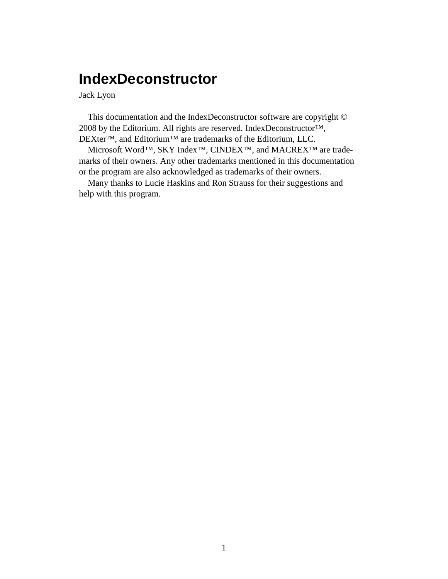# **IndexDeconstructor**

Jack Lyon

This documentation and the IndexDeconstructor software are copyright © 2008 by the Editorium. All rights are reserved. IndexDeconstructor™, DEXter™, and Editorium™ are trademarks of the Editorium, LLC.

Microsoft Word™, SKY Index™, CINDEX™, and MACREX™ are trademarks of their owners. Any other trademarks mentioned in this documentation or the program are also acknowledged as trademarks of their owners.

Many thanks to Lucie Haskins and Ron Strauss for their suggestions and help with this program.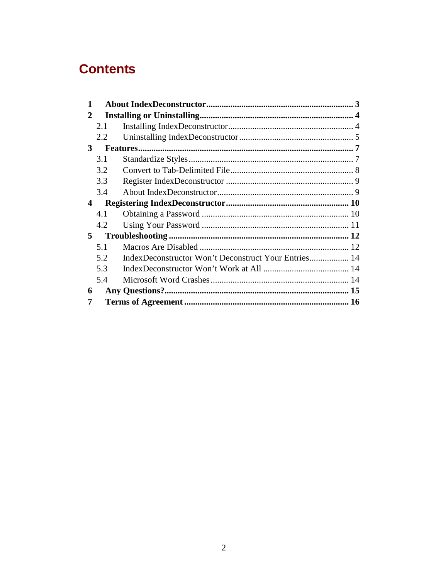# **Contents**

| 1                       |     |  |
|-------------------------|-----|--|
| 2                       |     |  |
|                         | 2.1 |  |
|                         | 2.2 |  |
| 3                       |     |  |
|                         | 3.1 |  |
|                         | 3.2 |  |
|                         | 3.3 |  |
|                         | 3.4 |  |
| $\overline{\mathbf{4}}$ |     |  |
|                         | 4.1 |  |
|                         | 4.2 |  |
| 5                       |     |  |
|                         | 5.1 |  |
|                         | 5.2 |  |
|                         | 5.3 |  |
|                         | 5.4 |  |
| 6                       |     |  |
|                         |     |  |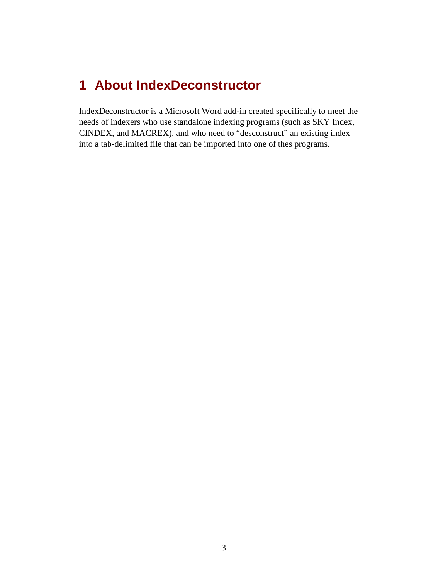# **1 About IndexDeconstructor**

IndexDeconstructor is a Microsoft Word add-in created specifically to meet the needs of indexers who use standalone indexing programs (such as SKY Index, CINDEX, and MACREX), and who need to "desconstruct" an existing index into a tab-delimited file that can be imported into one of thes programs.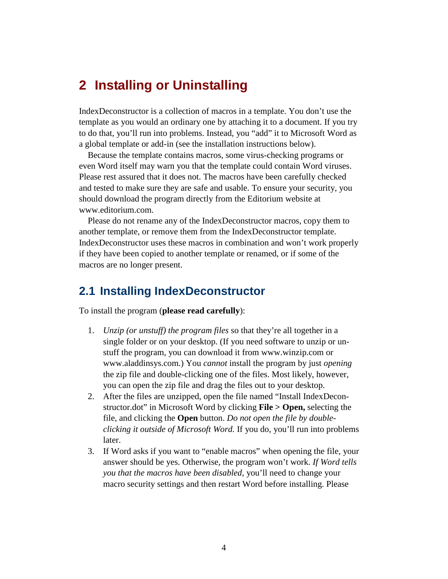## **2 Installing or Uninstalling**

IndexDeconstructor is a collection of macros in a template. You don't use the template as you would an ordinary one by attaching it to a document. If you try to do that, you'll run into problems. Instead, you "add" it to Microsoft Word as a global template or add-in (see the installation instructions below).

Because the template contains macros, some virus-checking programs or even Word itself may warn you that the template could contain Word viruses. Please rest assured that it does not. The macros have been carefully checked and tested to make sure they are safe and usable. To ensure your security, you should download the program directly from the Editorium website at www.editorium.com.

Please do not rename any of the IndexDeconstructor macros, copy them to another template, or remove them from the IndexDeconstructor template. IndexDeconstructor uses these macros in combination and won't work properly if they have been copied to another template or renamed, or if some of the macros are no longer present.

## **2.1 Installing IndexDeconstructor**

To install the program (**please read carefully**):

- 1. *Unzip (or unstuff) the program files* so that they're all together in a single folder or on your desktop. (If you need software to unzip or unstuff the program, you can download it from www.winzip.com or www.aladdinsys.com.) You *cannot* install the program by just *opening* the zip file and double-clicking one of the files. Most likely, however, you can open the zip file and drag the files out to your desktop.
- 2. After the files are unzipped, open the file named "Install IndexDeconstructor.dot" in Microsoft Word by clicking **File > Open,** selecting the file, and clicking the **Open** button. *Do not open the file by doubleclicking it outside of Microsoft Word.* If you do, you'll run into problems later.
- 3. If Word asks if you want to "enable macros" when opening the file, your answer should be yes. Otherwise, the program won't work. *If Word tells you that the macros have been disabled,* you'll need to change your macro security settings and then restart Word before installing. Please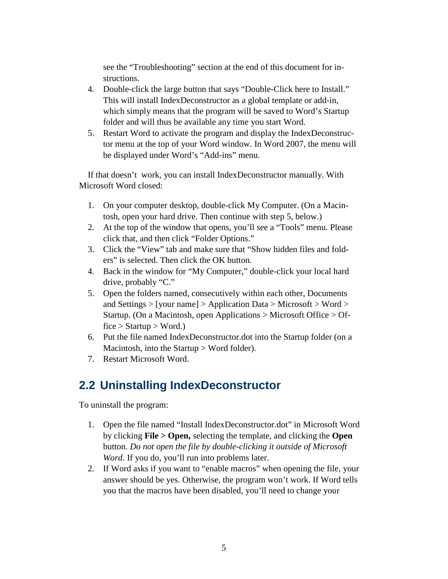see the "Troubleshooting" section at the end of this document for instructions.

- 4. Double-click the large button that says "Double-Click here to Install." This will install IndexDeconstructor as a global template or add-in, which simply means that the program will be saved to Word's Startup folder and will thus be available any time you start Word.
- 5. Restart Word to activate the program and display the IndexDeconstructor menu at the top of your Word window. In Word 2007, the menu will be displayed under Word's "Add-ins" menu.

If that doesn't work, you can install IndexDeconstructor manually. With Microsoft Word closed:

- 1. On your computer desktop, double-click My Computer. (On a Macintosh, open your hard drive. Then continue with step 5, below.)
- 2. At the top of the window that opens, you'll see a "Tools" menu. Please click that, and then click "Folder Options."
- 3. Click the "View" tab and make sure that "Show hidden files and folders" is selected. Then click the OK button.
- 4. Back in the window for "My Computer," double-click your local hard drive, probably "C."
- 5. Open the folders named, consecutively within each other, Documents and Settings  $>$  [your name]  $>$  Application Data  $>$  Microsoft  $>$  Word  $>$ Startup. (On a Macintosh, open Applications > Microsoft Office > Of $fice > Startup > Word.)$
- 6. Put the file named IndexDeconstructor.dot into the Startup folder (on a Macintosh, into the Startup > Word folder).
- 7. Restart Microsoft Word.

# **2.2 Uninstalling IndexDeconstructor**

To uninstall the program:

- 1. Open the file named "Install IndexDeconstructor.dot" in Microsoft Word by clicking **File > Open,** selecting the template, and clicking the **Open** button. *Do not open the file by double-clicking it outside of Microsoft Word.* If you do, you'll run into problems later.
- 2. If Word asks if you want to "enable macros" when opening the file, your answer should be yes. Otherwise, the program won't work. If Word tells you that the macros have been disabled, you'll need to change your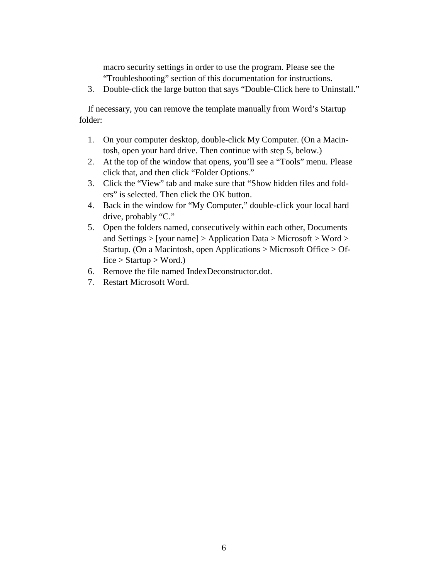macro security settings in order to use the program. Please see the "Troubleshooting" section of this documentation for instructions.

3. Double-click the large button that says "Double-Click here to Uninstall."

If necessary, you can remove the template manually from Word's Startup folder:

- 1. On your computer desktop, double-click My Computer. (On a Macintosh, open your hard drive. Then continue with step 5, below.)
- 2. At the top of the window that opens, you'll see a "Tools" menu. Please click that, and then click "Folder Options."
- 3. Click the "View" tab and make sure that "Show hidden files and folders" is selected. Then click the OK button.
- 4. Back in the window for "My Computer," double-click your local hard drive, probably "C."
- 5. Open the folders named, consecutively within each other, Documents and Settings > [your name] > Application Data > Microsoft > Word > Startup. (On a Macintosh, open Applications > Microsoft Office > Of $fice > Startup > Word.$ )
- 6. Remove the file named IndexDeconstructor.dot.
- 7. Restart Microsoft Word.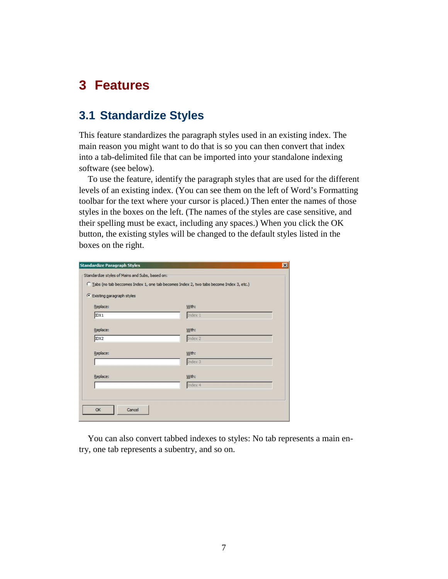# **3 Features**

## **3.1 Standardize Styles**

This feature standardizes the paragraph styles used in an existing index. The main reason you might want to do that is so you can then convert that index into a tab-delimited file that can be imported into your standalone indexing software (see below).

To use the feature, identify the paragraph styles that are used for the different levels of an existing index. (You can see them on the left of Word's Formatting toolbar for the text where your cursor is placed.) Then enter the names of those styles in the boxes on the left. (The names of the styles are case sensitive, and their spelling must be exact, including any spaces.) When you click the OK button, the existing styles will be changed to the default styles listed in the boxes on the right.

| <b>Standardize Paragraph Styles</b>                                                      | $\mathbf{x}$     |  |  |  |  |
|------------------------------------------------------------------------------------------|------------------|--|--|--|--|
| Standardize styles of Mains and Subs, based on:                                          |                  |  |  |  |  |
| C Tabs (no tab beccomes Index 1, one tab becomes Index 2, two tabs become Index 3, etc.) |                  |  |  |  |  |
| C Existing paragraph styles                                                              |                  |  |  |  |  |
| Replace:                                                                                 | With:            |  |  |  |  |
| IDX1                                                                                     | Index 1          |  |  |  |  |
|                                                                                          |                  |  |  |  |  |
| Replace:<br>IDX2                                                                         | With:<br>Index 2 |  |  |  |  |
|                                                                                          |                  |  |  |  |  |
| Replace:                                                                                 | With:            |  |  |  |  |
|                                                                                          | Index 3          |  |  |  |  |
|                                                                                          |                  |  |  |  |  |
| Replace:                                                                                 | With:<br>Index 4 |  |  |  |  |
|                                                                                          |                  |  |  |  |  |
|                                                                                          |                  |  |  |  |  |
| Cancel<br>OK                                                                             |                  |  |  |  |  |
|                                                                                          |                  |  |  |  |  |

You can also convert tabbed indexes to styles: No tab represents a main entry, one tab represents a subentry, and so on.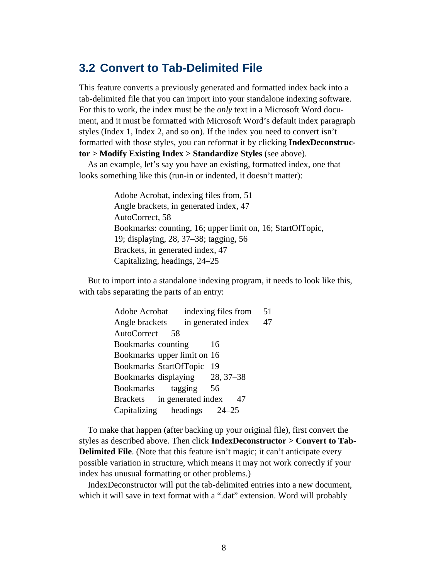### **3.2 Convert to Tab-Delimited File**

This feature converts a previously generated and formatted index back into a tab-delimited file that you can import into your standalone indexing software. For this to work, the index must be the *only* text in a Microsoft Word document, and it must be formatted with Microsoft Word's default index paragraph styles (Index 1, Index 2, and so on). If the index you need to convert isn't formatted with those styles, you can reformat it by clicking **IndexDeconstructor > Modify Existing Index > Standardize Styles** (see above).

As an example, let's say you have an existing, formatted index, one that looks something like this (run-in or indented, it doesn't matter):

> Adobe Acrobat, indexing files from, 51 Angle brackets, in generated index, 47 AutoCorrect, 58 Bookmarks: counting, 16; upper limit on, 16; StartOfTopic, 19; displaying, 28, 37–38; tagging, 56 Brackets, in generated index, 47 Capitalizing, headings, 24–25

But to import into a standalone indexing program, it needs to look like this, with tabs separating the parts of an entry:

| Adobe Acrobat                  | indexing files from | 51 |
|--------------------------------|---------------------|----|
| Angle brackets                 | in generated index  | 47 |
| AutoCorrect<br>58              |                     |    |
| Bookmarks counting             | 16                  |    |
| Bookmarks upper limit on 16    |                     |    |
| <b>Bookmarks StartOfTopic</b>  | - 19                |    |
| Bookmarks displaying 28, 37–38 |                     |    |
| Bookmarks tagging              | 56                  |    |
| Brackets in generated index    | 47                  |    |
| Capitalizing headings 24–25    |                     |    |

To make that happen (after backing up your original file), first convert the styles as described above. Then click **IndexDeconstructor > Convert to Tab-Delimited File.** (Note that this feature isn't magic; it can't anticipate every possible variation in structure, which means it may not work correctly if your index has unusual formatting or other problems.)

IndexDeconstructor will put the tab-delimited entries into a new document, which it will save in text format with a ".dat" extension. Word will probably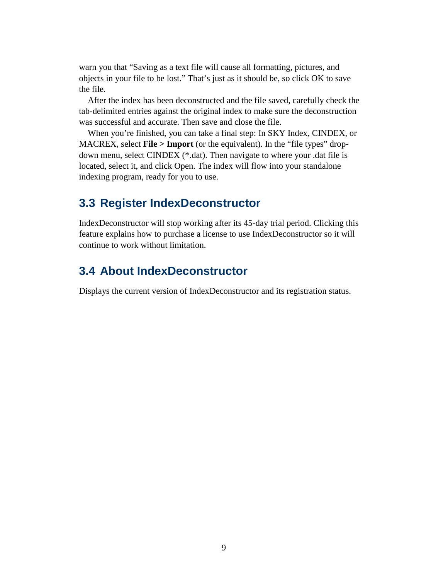warn you that "Saving as a text file will cause all formatting, pictures, and objects in your file to be lost." That's just as it should be, so click OK to save the file.

After the index has been deconstructed and the file saved, carefully check the tab-delimited entries against the original index to make sure the deconstruction was successful and accurate. Then save and close the file.

When you're finished, you can take a final step: In SKY Index, CINDEX, or MACREX, select **File > Import** (or the equivalent). In the "file types" dropdown menu, select CINDEX (\*.dat). Then navigate to where your .dat file is located, select it, and click Open. The index will flow into your standalone indexing program, ready for you to use.

### **3.3 Register IndexDeconstructor**

IndexDeconstructor will stop working after its 45-day trial period. Clicking this feature explains how to purchase a license to use IndexDeconstructor so it will continue to work without limitation.

## **3.4 About IndexDeconstructor**

Displays the current version of IndexDeconstructor and its registration status.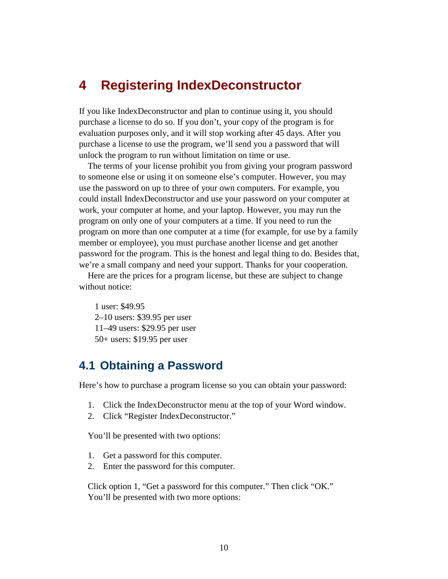## **4 Registering IndexDeconstructor**

If you like IndexDeconstructor and plan to continue using it, you should purchase a license to do so. If you don't, your copy of the program is for evaluation purposes only, and it will stop working after 45 days. After you purchase a license to use the program, we'll send you a password that will unlock the program to run without limitation on time or use.

The terms of your license prohibit you from giving your program password to someone else or using it on someone else's computer. However, you may use the password on up to three of your own computers. For example, you could install IndexDeconstructor and use your password on your computer at work, your computer at home, and your laptop. However, you may run the program on only one of your computers at a time. If you need to run the program on more than one computer at a time (for example, for use by a family member or employee), you must purchase another license and get another password for the program. This is the honest and legal thing to do. Besides that, we're a small company and need your support. Thanks for your cooperation.

Here are the prices for a program license, but these are subject to change without notice:

1 user: \$49.95 2–10 users: \$39.95 per user 11–49 users: \$29.95 per user 50+ users: \$19.95 per user

## **4.1 Obtaining a Password**

Here's how to purchase a program license so you can obtain your password:

- 1. Click the IndexDeconstructor menu at the top of your Word window.
- 2. Click "Register IndexDeconstructor."

You'll be presented with two options:

- 1. Get a password for this computer.
- 2. Enter the password for this computer.

Click option 1, "Get a password for this computer." Then click "OK." You'll be presented with two more options: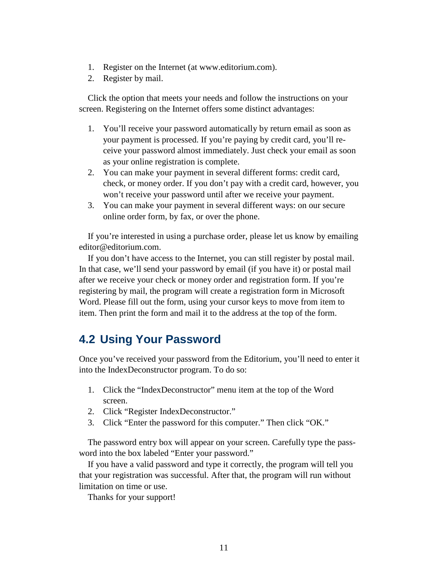- 1. Register on the Internet (at www.editorium.com).
- 2. Register by mail.

Click the option that meets your needs and follow the instructions on your screen. Registering on the Internet offers some distinct advantages:

- 1. You'll receive your password automatically by return email as soon as your payment is processed. If you're paying by credit card, you'll receive your password almost immediately. Just check your email as soon as your online registration is complete.
- 2. You can make your payment in several different forms: credit card, check, or money order. If you don't pay with a credit card, however, you won't receive your password until after we receive your payment.
- 3. You can make your payment in several different ways: on our secure online order form, by fax, or over the phone.

If you're interested in using a purchase order, please let us know by emailing editor@editorium.com.

If you don't have access to the Internet, you can still register by postal mail. In that case, we'll send your password by email (if you have it) or postal mail after we receive your check or money order and registration form. If you're registering by mail, the program will create a registration form in Microsoft Word. Please fill out the form, using your cursor keys to move from item to item. Then print the form and mail it to the address at the top of the form.

## **4.2 Using Your Password**

Once you've received your password from the Editorium, you'll need to enter it into the IndexDeconstructor program. To do so:

- 1. Click the "IndexDeconstructor" menu item at the top of the Word screen.
- 2. Click "Register IndexDeconstructor."
- 3. Click "Enter the password for this computer." Then click "OK."

The password entry box will appear on your screen. Carefully type the password into the box labeled "Enter your password."

If you have a valid password and type it correctly, the program will tell you that your registration was successful. After that, the program will run without limitation on time or use.

Thanks for your support!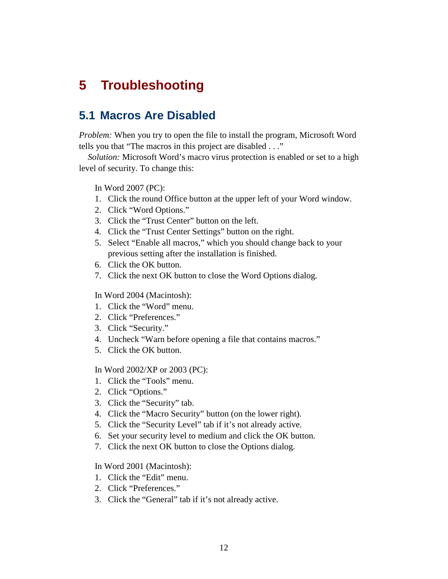# **5 Troubleshooting**

## **5.1 Macros Are Disabled**

*Problem:* When you try to open the file to install the program, Microsoft Word tells you that "The macros in this project are disabled . . ."

*Solution:* Microsoft Word's macro virus protection is enabled or set to a high level of security. To change this:

In Word 2007 (PC):

- 1. Click the round Office button at the upper left of your Word window.
- 2. Click "Word Options."
- 3. Click the "Trust Center" button on the left.
- 4. Click the "Trust Center Settings" button on the right.
- 5. Select "Enable all macros," which you should change back to your previous setting after the installation is finished.
- 6. Click the OK button.
- 7. Click the next OK button to close the Word Options dialog.

#### In Word 2004 (Macintosh):

- 1. Click the "Word" menu.
- 2. Click "Preferences."
- 3. Click "Security."
- 4. Uncheck "Warn before opening a file that contains macros."
- 5. Click the OK button.

#### In Word 2002/XP or 2003 (PC):

- 1. Click the "Tools" menu.
- 2. Click "Options."
- 3. Click the "Security" tab.
- 4. Click the "Macro Security" button (on the lower right).
- 5. Click the "Security Level" tab if it's not already active.
- 6. Set your security level to medium and click the OK button.
- 7. Click the next OK button to close the Options dialog.

#### In Word 2001 (Macintosh):

- 1. Click the "Edit" menu.
- 2. Click "Preferences."
- 3. Click the "General" tab if it's not already active.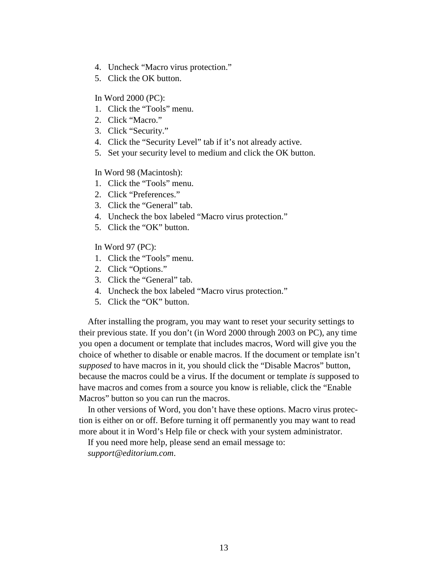- 4. Uncheck "Macro virus protection."
- 5. Click the OK button.

In Word 2000 (PC):

- 1. Click the "Tools" menu.
- 2. Click "Macro."
- 3. Click "Security."
- 4. Click the "Security Level" tab if it's not already active.
- 5. Set your security level to medium and click the OK button.

#### In Word 98 (Macintosh):

- 1. Click the "Tools" menu.
- 2. Click "Preferences."
- 3. Click the "General" tab.
- 4. Uncheck the box labeled "Macro virus protection."
- 5. Click the "OK" button.

In Word 97 (PC):

- 1. Click the "Tools" menu.
- 2. Click "Options."
- 3. Click the "General" tab.
- 4. Uncheck the box labeled "Macro virus protection."
- 5. Click the "OK" button.

After installing the program, you may want to reset your security settings to their previous state. If you don't (in Word 2000 through 2003 on PC), any time you open a document or template that includes macros, Word will give you the choice of whether to disable or enable macros. If the document or template isn't *supposed* to have macros in it, you should click the "Disable Macros" button, because the macros could be a virus. If the document or template *is* supposed to have macros and comes from a source you know is reliable, click the "Enable Macros" button so you can run the macros.

In other versions of Word, you don't have these options. Macro virus protection is either on or off. Before turning it off permanently you may want to read more about it in Word's Help file or check with your system administrator.

If you need more help, please send an email message to: *support@editorium.com*.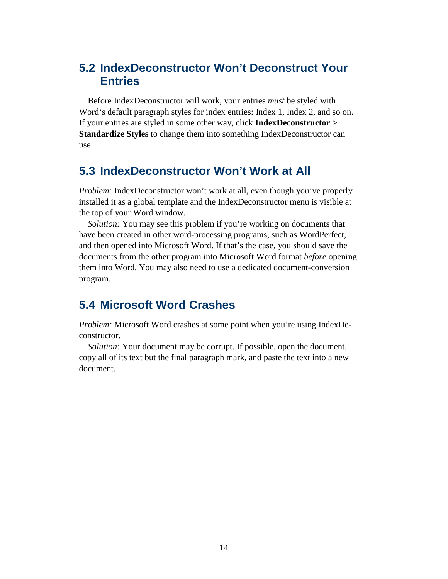## **5.2 IndexDeconstructor Won't Deconstruct Your Entries**

Before IndexDeconstructor will work, your entries *must* be styled with Word's default paragraph styles for index entries: Index 1, Index 2, and so on. If your entries are styled in some other way, click **IndexDeconstructor > Standardize Styles** to change them into something IndexDeconstructor can use.

## **5.3 IndexDeconstructor Won't Work at All**

*Problem:* IndexDeconstructor won't work at all, even though you've properly installed it as a global template and the IndexDeconstructor menu is visible at the top of your Word window.

*Solution:* You may see this problem if you're working on documents that have been created in other word-processing programs, such as WordPerfect, and then opened into Microsoft Word. If that's the case, you should save the documents from the other program into Microsoft Word format *before* opening them into Word. You may also need to use a dedicated document-conversion program.

## **5.4 Microsoft Word Crashes**

*Problem:* Microsoft Word crashes at some point when you're using IndexDeconstructor.

*Solution:* Your document may be corrupt. If possible, open the document, copy all of its text but the final paragraph mark, and paste the text into a new document.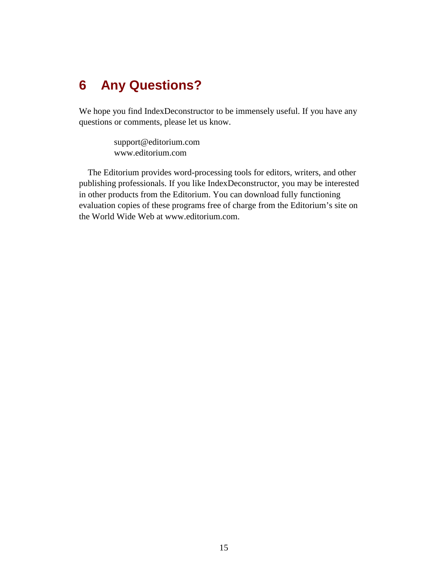# **6 Any Questions?**

We hope you find IndexDeconstructor to be immensely useful. If you have any questions or comments, please let us know.

> support@editorium.com www.editorium.com

The Editorium provides word-processing tools for editors, writers, and other publishing professionals. If you like IndexDeconstructor, you may be interested in other products from the Editorium. You can download fully functioning evaluation copies of these programs free of charge from the Editorium's site on the World Wide Web at www.editorium.com.